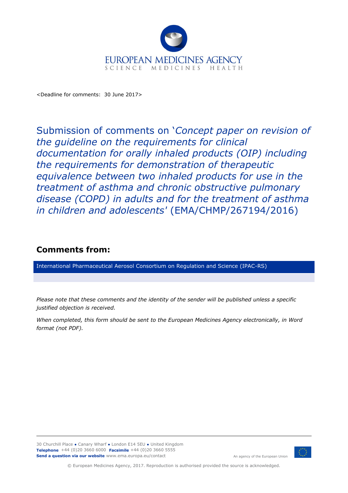

<Deadline for comments: 30 June 2017>

Submission of comments on '*Concept paper on revision of the guideline on the requirements for clinical documentation for orally inhaled products (OIP) including the requirements for demonstration of therapeutic equivalence between two inhaled products for use in the treatment of asthma and chronic obstructive pulmonary disease (COPD) in adults and for the treatment of asthma in children and adolescents'* (EMA/CHMP/267194/2016)

## **Comments from:**

International Pharmaceutical Aerosol Consortium on Regulation and Science (IPAC-RS)

*Please note that these comments and the identity of the sender will be published unless a specific justified objection is received.*

*When completed, this form should be sent to the European Medicines Agency electronically, in Word format (not PDF).*



An agency of the European Union

© European Medicines Agency, 2017. Reproduction is authorised provided the source is acknowledged.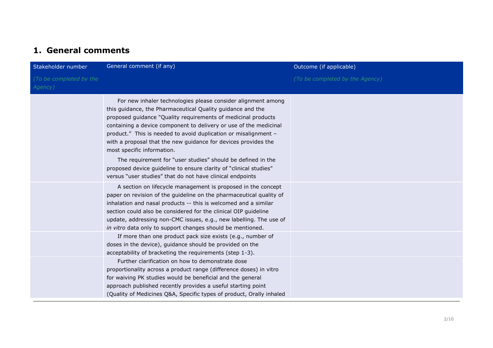## **1. General comments**

| Stakeholder number                 | General comment (if any)                                                                                                                                                                                                                                                                                                                                                                                                                                                                                                                                                                                                             | Outcome (if applicable)         |
|------------------------------------|--------------------------------------------------------------------------------------------------------------------------------------------------------------------------------------------------------------------------------------------------------------------------------------------------------------------------------------------------------------------------------------------------------------------------------------------------------------------------------------------------------------------------------------------------------------------------------------------------------------------------------------|---------------------------------|
| (To be completed by the<br>Agency) |                                                                                                                                                                                                                                                                                                                                                                                                                                                                                                                                                                                                                                      | (To be completed by the Agency) |
|                                    | For new inhaler technologies please consider alignment among<br>this guidance, the Pharmaceutical Quality guidance and the<br>proposed guidance "Quality requirements of medicinal products<br>containing a device component to delivery or use of the medicinal<br>product." This is needed to avoid duplication or misalignment -<br>with a proposal that the new guidance for devices provides the<br>most specific information.<br>The requirement for "user studies" should be defined in the<br>proposed device guideline to ensure clarity of "clinical studies"<br>versus "user studies" that do not have clinical endpoints |                                 |
|                                    | A section on lifecycle management is proposed in the concept<br>paper on revision of the guideline on the pharmaceutical quality of<br>inhalation and nasal products -- this is welcomed and a similar<br>section could also be considered for the clinical OIP guideline<br>update, addressing non-CMC issues, e.g., new labelling. The use of<br>in vitro data only to support changes should be mentioned.                                                                                                                                                                                                                        |                                 |
|                                    | If more than one product pack size exists (e.g., number of<br>doses in the device), guidance should be provided on the<br>acceptability of bracketing the requirements (step 1-3).                                                                                                                                                                                                                                                                                                                                                                                                                                                   |                                 |
|                                    | Further clarification on how to demonstrate dose<br>proportionality across a product range (difference doses) in vitro<br>for waiving PK studies would be beneficial and the general<br>approach published recently provides a useful starting point<br>(Quality of Medicines Q&A, Specific types of product, Orally inhaled                                                                                                                                                                                                                                                                                                         |                                 |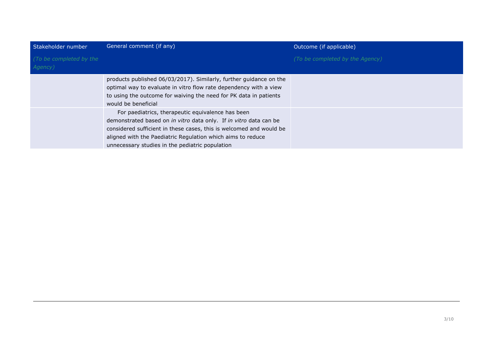| Stakeholder number                 | General comment (if any)                                                                                                                                                                                                                                                                                        | Outcome (if applicable)         |
|------------------------------------|-----------------------------------------------------------------------------------------------------------------------------------------------------------------------------------------------------------------------------------------------------------------------------------------------------------------|---------------------------------|
| (To be completed by the<br>Agency) |                                                                                                                                                                                                                                                                                                                 | (To be completed by the Agency) |
|                                    | products published 06/03/2017). Similarly, further guidance on the<br>optimal way to evaluate in vitro flow rate dependency with a view<br>to using the outcome for waiving the need for PK data in patients<br>would be beneficial                                                                             |                                 |
|                                    | For paediatrics, therapeutic equivalence has been<br>demonstrated based on in vitro data only. If in vitro data can be<br>considered sufficient in these cases, this is welcomed and would be<br>aligned with the Paediatric Regulation which aims to reduce<br>unnecessary studies in the pediatric population |                                 |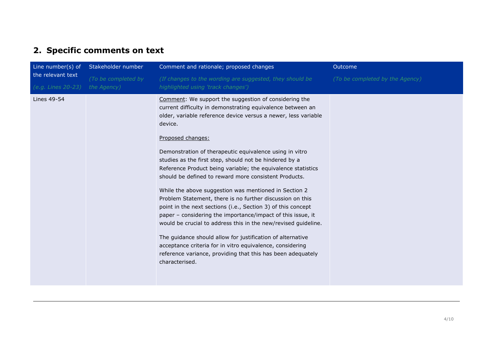## **2. Specific comments on text**

| Line number(s) of                       | Stakeholder number                 | Comment and rationale; proposed changes                                                                                                                                                                                                                                                                                                                                                                                                                                                                                                                                                                                                                                                                                                                                                                                                                                                                                                                                                                | Outcome                         |
|-----------------------------------------|------------------------------------|--------------------------------------------------------------------------------------------------------------------------------------------------------------------------------------------------------------------------------------------------------------------------------------------------------------------------------------------------------------------------------------------------------------------------------------------------------------------------------------------------------------------------------------------------------------------------------------------------------------------------------------------------------------------------------------------------------------------------------------------------------------------------------------------------------------------------------------------------------------------------------------------------------------------------------------------------------------------------------------------------------|---------------------------------|
| the relevant text<br>(e.g. Lines 20-23) | (To be completed by<br>the Agency) | (If changes to the wording are suggested, they should be<br>highlighted using 'track changes')                                                                                                                                                                                                                                                                                                                                                                                                                                                                                                                                                                                                                                                                                                                                                                                                                                                                                                         | (To be completed by the Agency) |
| Lines 49-54                             |                                    | Comment: We support the suggestion of considering the<br>current difficulty in demonstrating equivalence between an<br>older, variable reference device versus a newer, less variable<br>device.<br>Proposed changes:<br>Demonstration of therapeutic equivalence using in vitro<br>studies as the first step, should not be hindered by a<br>Reference Product being variable; the equivalence statistics<br>should be defined to reward more consistent Products.<br>While the above suggestion was mentioned in Section 2<br>Problem Statement, there is no further discussion on this<br>point in the next sections (i.e., Section 3) of this concept<br>paper - considering the importance/impact of this issue, it<br>would be crucial to address this in the new/revised guideline.<br>The guidance should allow for justification of alternative<br>acceptance criteria for in vitro equivalence, considering<br>reference variance, providing that this has been adequately<br>characterised. |                                 |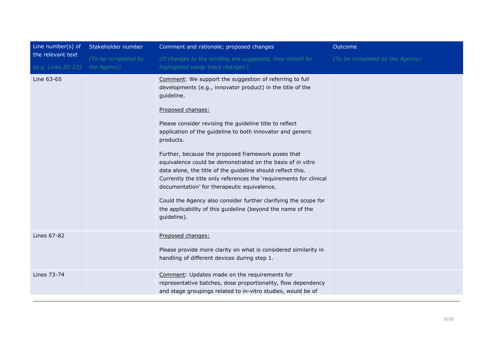| Line number(s) of  | Stakeholder number  | Comment and rationale; proposed changes                                                                                                                                                                                                                                                                                                                                                                                                                                                                                                                                                                                                                                                                                                                 | Outcome                         |
|--------------------|---------------------|---------------------------------------------------------------------------------------------------------------------------------------------------------------------------------------------------------------------------------------------------------------------------------------------------------------------------------------------------------------------------------------------------------------------------------------------------------------------------------------------------------------------------------------------------------------------------------------------------------------------------------------------------------------------------------------------------------------------------------------------------------|---------------------------------|
| the relevant text  | (To be completed by | (If changes to the wording are suggested, they should be                                                                                                                                                                                                                                                                                                                                                                                                                                                                                                                                                                                                                                                                                                | (To be completed by the Agency) |
| (e.g. Lines 20-23) | the Agency)         | highlighted using 'track changes')                                                                                                                                                                                                                                                                                                                                                                                                                                                                                                                                                                                                                                                                                                                      |                                 |
| Line 63-65         |                     | Comment: We support the suggestion of referring to full<br>developments (e.g., innovator product) in the title of the<br>guideline.<br>Proposed changes:<br>Please consider revising the guideline title to reflect<br>application of the guideline to both innovator and generic<br>products.<br>Further, because the proposed framework poses that<br>equivalence could be demonstrated on the basis of in vitro<br>data alone, the title of the guideline should reflect this.<br>Currently the title only references the 'requirements for clinical<br>documentation' for therapeutic equivalence.<br>Could the Agency also consider further clarifying the scope for<br>the applicability of this guideline (beyond the name of the<br>guideline). |                                 |
| Lines 67-82        |                     | Proposed changes:<br>Please provide more clarity on what is considered similarity in<br>handling of different devices during step 1.                                                                                                                                                                                                                                                                                                                                                                                                                                                                                                                                                                                                                    |                                 |
| Lines 73-74        |                     | Comment: Updates made on the requirements for<br>representative batches, dose proportionality, flow dependency<br>and stage groupings related to in-vitro studies, would be of                                                                                                                                                                                                                                                                                                                                                                                                                                                                                                                                                                          |                                 |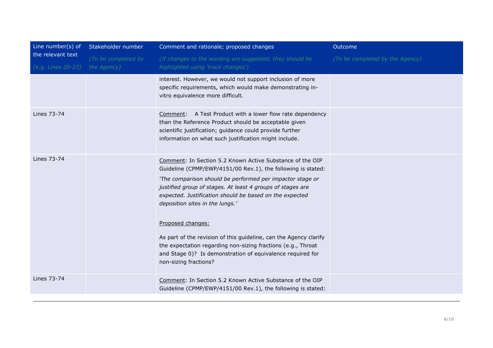| Line number(s) of                       | Stakeholder number                 | Comment and rationale; proposed changes                                                                                                                                                                                                                                                                                                                                                                                                                                                                                                                                                             | Outcome                         |
|-----------------------------------------|------------------------------------|-----------------------------------------------------------------------------------------------------------------------------------------------------------------------------------------------------------------------------------------------------------------------------------------------------------------------------------------------------------------------------------------------------------------------------------------------------------------------------------------------------------------------------------------------------------------------------------------------------|---------------------------------|
| the relevant text<br>(e.g. Lines 20-23) | (To be completed by<br>the Agency) | (If changes to the wording are suggested, they should be<br>highlighted using 'track changes')                                                                                                                                                                                                                                                                                                                                                                                                                                                                                                      | (To be completed by the Agency) |
|                                         |                                    | interest. However, we would not support inclusion of more<br>specific requirements, which would make demonstrating in-<br>vitro equivalence more difficult.                                                                                                                                                                                                                                                                                                                                                                                                                                         |                                 |
| Lines 73-74                             |                                    | Comment: A Test Product with a lower flow rate dependency<br>than the Reference Product should be acceptable given<br>scientific justification; guidance could provide further<br>information on what such justification might include.                                                                                                                                                                                                                                                                                                                                                             |                                 |
| Lines 73-74                             |                                    | Comment: In Section 5.2 Known Active Substance of the OIP<br>Guideline (CPMP/EWP/4151/00 Rev.1), the following is stated:<br>'The comparison should be performed per impactor stage or<br>justified group of stages. At least 4 groups of stages are<br>expected. Justification should be based on the expected<br>deposition sites in the lungs.'<br>Proposed changes:<br>As part of the revision of this guideline, can the Agency clarify<br>the expectation regarding non-sizing fractions (e.g., Throat<br>and Stage 0)? Is demonstration of equivalence required for<br>non-sizing fractions? |                                 |
| Lines 73-74                             |                                    | Comment: In Section 5.2 Known Active Substance of the OIP<br>Guideline (CPMP/EWP/4151/00 Rev.1), the following is stated:                                                                                                                                                                                                                                                                                                                                                                                                                                                                           |                                 |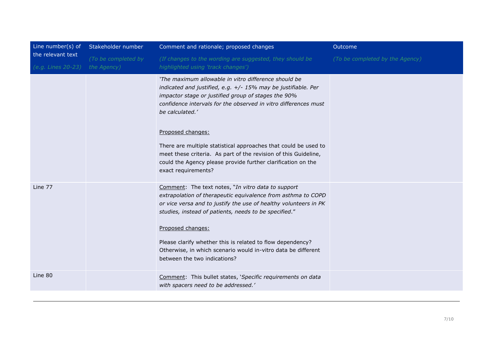| Line number(s) of                       | Stakeholder number                 | Comment and rationale; proposed changes                                                                                                                                                                                                                                                                                                                                                                                                                                                                              | Outcome                         |
|-----------------------------------------|------------------------------------|----------------------------------------------------------------------------------------------------------------------------------------------------------------------------------------------------------------------------------------------------------------------------------------------------------------------------------------------------------------------------------------------------------------------------------------------------------------------------------------------------------------------|---------------------------------|
| the relevant text<br>(e.g. Lines 20-23) | (To be completed by<br>the Agency) | (If changes to the wording are suggested, they should be<br>highlighted using 'track changes')                                                                                                                                                                                                                                                                                                                                                                                                                       | (To be completed by the Agency) |
|                                         |                                    | 'The maximum allowable in vitro difference should be<br>indicated and justified, e.g. +/- 15% may be justifiable. Per<br>impactor stage or justified group of stages the 90%<br>confidence intervals for the observed in vitro differences must<br>be calculated.'<br>Proposed changes:<br>There are multiple statistical approaches that could be used to<br>meet these criteria. As part of the revision of this Guideline,<br>could the Agency please provide further clarification on the<br>exact requirements? |                                 |
| Line 77                                 |                                    | Comment: The text notes, "In vitro data to support<br>extrapolation of therapeutic equivalence from asthma to COPD<br>or vice versa and to justify the use of healthy volunteers in PK<br>studies, instead of patients, needs to be specified."<br>Proposed changes:<br>Please clarify whether this is related to flow dependency?<br>Otherwise, in which scenario would in-vitro data be different<br>between the two indications?                                                                                  |                                 |
| Line 80                                 |                                    | Comment: This bullet states, 'Specific requirements on data<br>with spacers need to be addressed.'                                                                                                                                                                                                                                                                                                                                                                                                                   |                                 |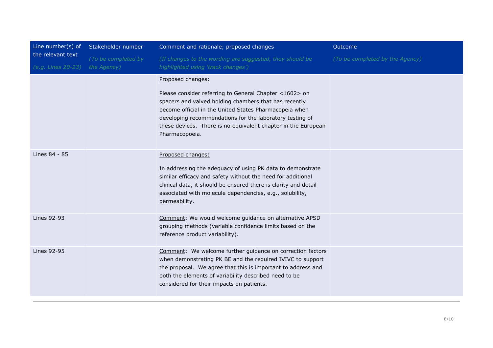| Line number(s) of                       | Stakeholder number                 | Comment and rationale; proposed changes                                                                                                                                                                                                                                                                                                       | Outcome                         |
|-----------------------------------------|------------------------------------|-----------------------------------------------------------------------------------------------------------------------------------------------------------------------------------------------------------------------------------------------------------------------------------------------------------------------------------------------|---------------------------------|
| the relevant text<br>(e.g. Lines 20-23) | (To be completed by<br>the Agency) | (If changes to the wording are suggested, they should be<br>highlighted using 'track changes')                                                                                                                                                                                                                                                | (To be completed by the Agency) |
|                                         |                                    | Proposed changes:<br>Please consider referring to General Chapter <1602> on<br>spacers and valved holding chambers that has recently<br>become official in the United States Pharmacopeia when<br>developing recommendations for the laboratory testing of<br>these devices. There is no equivalent chapter in the European<br>Pharmacopoeia. |                                 |
| Lines 84 - 85                           |                                    | Proposed changes:<br>In addressing the adequacy of using PK data to demonstrate<br>similar efficacy and safety without the need for additional<br>clinical data, it should be ensured there is clarity and detail<br>associated with molecule dependencies, e.g., solubility,<br>permeability.                                                |                                 |
| Lines 92-93                             |                                    | Comment: We would welcome guidance on alternative APSD<br>grouping methods (variable confidence limits based on the<br>reference product variability).                                                                                                                                                                                        |                                 |
| Lines 92-95                             |                                    | Comment: We welcome further guidance on correction factors<br>when demonstrating PK BE and the required IVIVC to support<br>the proposal. We agree that this is important to address and<br>both the elements of variability described need to be<br>considered for their impacts on patients.                                                |                                 |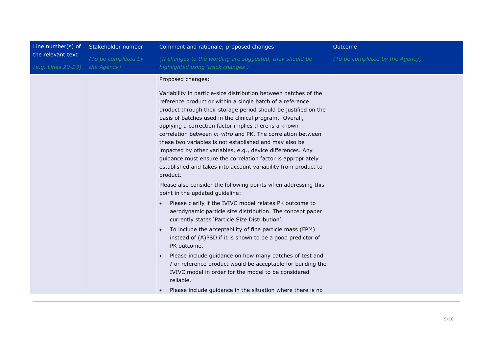| Line number( $s$ ) of                   | Stakeholder number                 | Comment and rationale; proposed changes                                                                                                                                                                                                                                                                                                                                                                                                                                                                                                                                                                                                                                                                                                                                                                                                                                                                                                                                                                                                                                                                                                                                                                                                                                                                                                                                    | Outcome                         |
|-----------------------------------------|------------------------------------|----------------------------------------------------------------------------------------------------------------------------------------------------------------------------------------------------------------------------------------------------------------------------------------------------------------------------------------------------------------------------------------------------------------------------------------------------------------------------------------------------------------------------------------------------------------------------------------------------------------------------------------------------------------------------------------------------------------------------------------------------------------------------------------------------------------------------------------------------------------------------------------------------------------------------------------------------------------------------------------------------------------------------------------------------------------------------------------------------------------------------------------------------------------------------------------------------------------------------------------------------------------------------------------------------------------------------------------------------------------------------|---------------------------------|
| the relevant text<br>(e.g. Lines 20-23) | (To be completed by<br>the Agency) | (If changes to the wording are suggested, they should be<br>highlighted using 'track changes')                                                                                                                                                                                                                                                                                                                                                                                                                                                                                                                                                                                                                                                                                                                                                                                                                                                                                                                                                                                                                                                                                                                                                                                                                                                                             | (To be completed by the Agency) |
|                                         |                                    | Proposed changes:<br>Variability in particle-size distribution between batches of the<br>reference product or within a single batch of a reference<br>product through their storage period should be justified on the<br>basis of batches used in the clinical program. Overall,<br>applying a correction factor implies there is a known<br>correlation between <i>in-vitro</i> and PK. The correlation between<br>these two variables is not established and may also be<br>impacted by other variables, e.g., device differences. Any<br>guidance must ensure the correlation factor is appropriately<br>established and takes into account variability from product to<br>product.<br>Please also consider the following points when addressing this<br>point in the updated guideline:<br>Please clarify if the IVIVC model relates PK outcome to<br>aerodynamic particle size distribution. The concept paper<br>currently states 'Particle Size Distribution'.<br>To include the acceptability of fine particle mass (FPM)<br>instead of (A)PSD if it is shown to be a good predictor of<br>PK outcome.<br>Please include guidance on how many batches of test and<br>/ or reference product would be acceptable for building the<br>IVIVC model in order for the model to be considered<br>reliable.<br>Please include guidance in the situation where there is no |                                 |